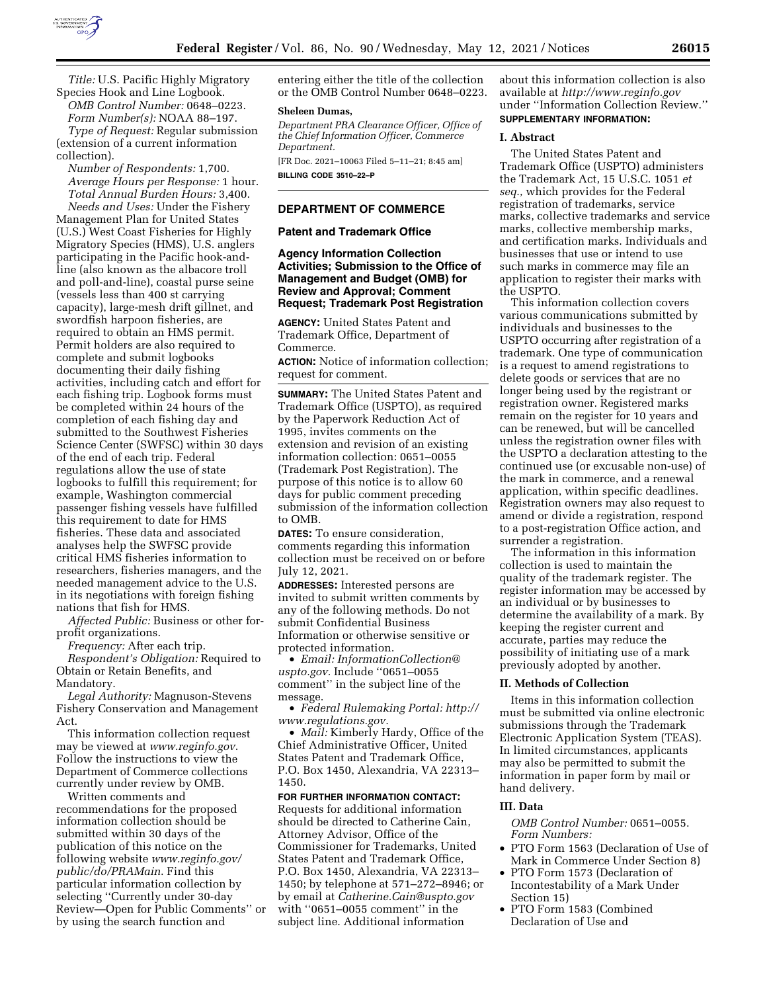

*Title:* U.S. Pacific Highly Migratory Species Hook and Line Logbook. *OMB Control Number:* 0648–0223.

*Form Number(s):* NOAA 88–197. *Type of Request:* Regular submission (extension of a current information collection).

*Number of Respondents:* 1,700. *Average Hours per Response:* 1 hour. *Total Annual Burden Hours:* 3,400. *Needs and Uses:* Under the Fishery Management Plan for United States (U.S.) West Coast Fisheries for Highly Migratory Species (HMS), U.S. anglers participating in the Pacific hook-andline (also known as the albacore troll and poll-and-line), coastal purse seine (vessels less than 400 st carrying capacity), large-mesh drift gillnet, and swordfish harpoon fisheries, are required to obtain an HMS permit. Permit holders are also required to complete and submit logbooks documenting their daily fishing activities, including catch and effort for each fishing trip. Logbook forms must be completed within 24 hours of the completion of each fishing day and submitted to the Southwest Fisheries Science Center (SWFSC) within 30 days of the end of each trip. Federal regulations allow the use of state logbooks to fulfill this requirement; for example, Washington commercial passenger fishing vessels have fulfilled this requirement to date for HMS fisheries. These data and associated analyses help the SWFSC provide critical HMS fisheries information to researchers, fisheries managers, and the needed management advice to the U.S. in its negotiations with foreign fishing nations that fish for HMS.

*Affected Public:* Business or other forprofit organizations.

*Frequency:* After each trip.

*Respondent's Obligation:* Required to Obtain or Retain Benefits, and Mandatory.

*Legal Authority:* Magnuson-Stevens Fishery Conservation and Management Act.

This information collection request may be viewed at *[www.reginfo.gov](http://www.reginfo.gov)*. Follow the instructions to view the Department of Commerce collections currently under review by OMB.

Written comments and recommendations for the proposed information collection should be submitted within 30 days of the publication of this notice on the following website *[www.reginfo.gov/](http://www.reginfo.gov/public/do/PRAMain)  [public/do/PRAMain](http://www.reginfo.gov/public/do/PRAMain)*. Find this particular information collection by selecting ''Currently under 30-day Review—Open for Public Comments'' or by using the search function and

entering either the title of the collection or the OMB Control Number 0648–0223.

#### **Sheleen Dumas,**

*Department PRA Clearance Officer, Office of the Chief Information Officer, Commerce Department.* 

[FR Doc. 2021–10063 Filed 5–11–21; 8:45 am] **BILLING CODE 3510–22–P** 

# **DEPARTMENT OF COMMERCE**

#### **Patent and Trademark Office**

## **Agency Information Collection Activities; Submission to the Office of Management and Budget (OMB) for Review and Approval; Comment Request; Trademark Post Registration**

**AGENCY:** United States Patent and Trademark Office, Department of Commerce.

**ACTION:** Notice of information collection; request for comment.

**SUMMARY:** The United States Patent and Trademark Office (USPTO), as required by the Paperwork Reduction Act of 1995, invites comments on the extension and revision of an existing information collection: 0651–0055 (Trademark Post Registration). The purpose of this notice is to allow 60 days for public comment preceding submission of the information collection to OMB.

**DATES:** To ensure consideration, comments regarding this information collection must be received on or before July 12, 2021.

**ADDRESSES:** Interested persons are invited to submit written comments by any of the following methods. Do not submit Confidential Business Information or otherwise sensitive or protected information.

• *Email: [InformationCollection@](mailto:InformationCollection@uspto.gov) [uspto.gov.](mailto:InformationCollection@uspto.gov)* Include ''0651–0055 comment'' in the subject line of the message.

• *Federal Rulemaking Portal: [http://](http://www.regulations.gov) [www.regulations.gov.](http://www.regulations.gov)* 

• *Mail:* Kimberly Hardy, Office of the Chief Administrative Officer, United States Patent and Trademark Office, P.O. Box 1450, Alexandria, VA 22313– 1450.

**FOR FURTHER INFORMATION CONTACT:**  Requests for additional information should be directed to Catherine Cain, Attorney Advisor, Office of the Commissioner for Trademarks, United States Patent and Trademark Office, P.O. Box 1450, Alexandria, VA 22313– 1450; by telephone at 571–272–8946; or by email at *[Catherine.Cain@uspto.gov](mailto:Catherine.Cain@uspto.gov)*  with ''0651–0055 comment'' in the subject line. Additional information

about this information collection is also available at *<http://www.reginfo.gov>*  under ''Information Collection Review.''

# **SUPPLEMENTARY INFORMATION:**

#### **I. Abstract**

The United States Patent and Trademark Office (USPTO) administers the Trademark Act, 15 U.S.C. 1051 *et seq.,* which provides for the Federal registration of trademarks, service marks, collective trademarks and service marks, collective membership marks, and certification marks. Individuals and businesses that use or intend to use such marks in commerce may file an application to register their marks with the USPTO.

This information collection covers various communications submitted by individuals and businesses to the USPTO occurring after registration of a trademark. One type of communication is a request to amend registrations to delete goods or services that are no longer being used by the registrant or registration owner. Registered marks remain on the register for 10 years and can be renewed, but will be cancelled unless the registration owner files with the USPTO a declaration attesting to the continued use (or excusable non-use) of the mark in commerce, and a renewal application, within specific deadlines. Registration owners may also request to amend or divide a registration, respond to a post-registration Office action, and surrender a registration.

The information in this information collection is used to maintain the quality of the trademark register. The register information may be accessed by an individual or by businesses to determine the availability of a mark. By keeping the register current and accurate, parties may reduce the possibility of initiating use of a mark previously adopted by another.

### **II. Methods of Collection**

Items in this information collection must be submitted via online electronic submissions through the Trademark Electronic Application System (TEAS). In limited circumstances, applicants may also be permitted to submit the information in paper form by mail or hand delivery.

### **III. Data**

- *OMB Control Number:* 0651–0055. *Form Numbers:*
- PTO Form 1563 (Declaration of Use of Mark in Commerce Under Section 8)
- PTO Form 1573 (Declaration of Incontestability of a Mark Under Section 15)
- PTO Form 1583 (Combined Declaration of Use and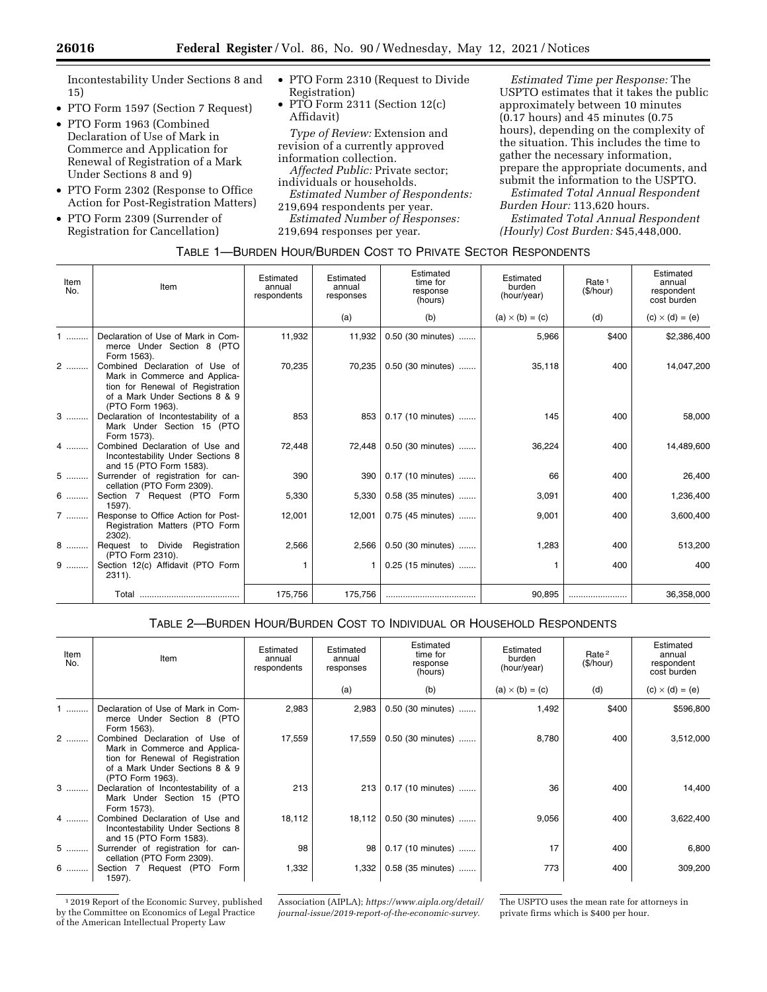Incontestability Under Sections 8 and 15)

- PTO Form 1597 (Section 7 Request)
- PTO Form 1963 (Combined Declaration of Use of Mark in Commerce and Application for Renewal of Registration of a Mark Under Sections 8 and 9)
- PTO Form 2302 (Response to Office Action for Post-Registration Matters)
- PTO Form 2309 (Surrender of Registration for Cancellation)
- PTO Form 2310 (Request to Divide Registration)
- PTO Form 2311 (Section 12(c) Affidavit)

*Type of Review:* Extension and revision of a currently approved information collection. *Affected Public:* Private sector;

individuals or households. *Estimated Number of Respondents:* 

219,694 respondents per year. *Estimated Number of Responses:*  219,694 responses per year.

*Estimated Time per Response:* The USPTO estimates that it takes the public approximately between 10 minutes (0.17 hours) and 45 minutes (0.75 hours), depending on the complexity of the situation. This includes the time to gather the necessary information, prepare the appropriate documents, and submit the information to the USPTO.

*Estimated Total Annual Respondent Burden Hour:* 113,620 hours. *Estimated Total Annual Respondent* 

*(Hourly) Cost Burden:* \$45,448,000.

TABLE 1—BURDEN HOUR/BURDEN COST TO PRIVATE SECTOR RESPONDENTS

| Item<br>No. | Item                                                                                                                                                      | Estimated<br>annual<br>respondents | Estimated<br>annual<br>responses | Estimated<br>time for<br>response<br>(hours) | Estimated<br>burden<br>(hour/year) | Rate <sup>1</sup><br>(\$/hour) | Estimated<br>annual<br>respondent<br>cost burden |
|-------------|-----------------------------------------------------------------------------------------------------------------------------------------------------------|------------------------------------|----------------------------------|----------------------------------------------|------------------------------------|--------------------------------|--------------------------------------------------|
|             |                                                                                                                                                           |                                    | (a)                              | (b)                                          | $(a) \times (b) = (c)$             | (d)                            | $(c) \times (d) = (e)$                           |
| .           | Declaration of Use of Mark in Com-<br>merce Under Section 8 (PTO<br>Form 1563).                                                                           | 11,932                             | 11,932                           | 0.50 (30 minutes)                            | 5,966                              | \$400                          | \$2,386,400                                      |
| 2           | Combined Declaration of Use of<br>Mark in Commerce and Applica-<br>tion for Renewal of Registration<br>of a Mark Under Sections 8 & 9<br>(PTO Form 1963). | 70,235                             | 70,235                           | 0.50 (30 minutes)                            | 35,118                             | 400                            | 14,047,200                                       |
| $3$         | Declaration of Incontestability of a<br>Mark Under Section 15 (PTO<br>Form 1573).                                                                         | 853                                | 853                              | 0.17 (10 minutes)                            | 145                                | 400                            | 58,000                                           |
| 4           | Combined Declaration of Use and<br>Incontestability Under Sections 8<br>and 15 (PTO Form 1583).                                                           | 72,448                             | 72,448                           | 0.50 (30 minutes)                            | 36,224                             | 400                            | 14,489,600                                       |
| $5$         | Surrender of registration for can-<br>cellation (PTO Form 2309).                                                                                          | 390                                | 390                              | 0.17 (10 minutes)                            | 66                                 | 400                            | 26,400                                           |
| 6           | Section 7 Request (PTO Form<br>1597).                                                                                                                     | 5,330                              | 5.330                            | 0.58 (35 minutes)                            | 3,091                              | 400                            | 1,236,400                                        |
| 7           | Response to Office Action for Post-<br>Registration Matters (PTO Form<br>2302).                                                                           | 12,001                             | 12,001                           | 0.75 (45 minutes)                            | 9,001                              | 400                            | 3,600,400                                        |
| 8           | Request to Divide Registration<br>(PTO Form 2310).                                                                                                        | 2,566                              | 2,566                            | 0.50 (30 minutes)                            | 1,283                              | 400                            | 513,200                                          |
| $9$         | Section 12(c) Affidavit (PTO Form<br>$2311$ ).                                                                                                            | 1                                  |                                  | 0.25 (15 minutes)                            |                                    | 400                            | 400                                              |
|             |                                                                                                                                                           | 175,756                            | 175,756                          |                                              | 90,895                             |                                | 36,358,000                                       |

# TABLE 2—BURDEN HOUR/BURDEN COST TO INDIVIDUAL OR HOUSEHOLD RESPONDENTS

| Item<br>No. | Item                                                                                                                                                      | Estimated<br>annual<br>respondents | Estimated<br>annual<br>responses | Estimated<br>time for<br>response<br>(hours) | Estimated<br>burden<br>(hour/year) | Rate <sup>2</sup><br>(\$/hour) | Estimated<br>annual<br>respondent<br>cost burden |
|-------------|-----------------------------------------------------------------------------------------------------------------------------------------------------------|------------------------------------|----------------------------------|----------------------------------------------|------------------------------------|--------------------------------|--------------------------------------------------|
|             |                                                                                                                                                           |                                    | (a)                              | (b)                                          | $(a) \times (b) = (c)$             | (d)                            | $(c) \times (d) = (e)$                           |
|             | Declaration of Use of Mark in Com-<br>merce Under Section 8 (PTO<br>Form 1563).                                                                           | 2,983                              | 2,983                            | 0.50 (30 minutes)                            | 1,492                              | \$400                          | \$596,800                                        |
| 2           | Combined Declaration of Use of<br>Mark in Commerce and Applica-<br>tion for Renewal of Registration<br>of a Mark Under Sections 8 & 9<br>(PTO Form 1963). | 17,559                             | 17,559                           | 0.50 (30 minutes)                            | 8,780                              | 400                            | 3,512,000                                        |
| $3$         | Declaration of Incontestability of a<br>Mark Under Section 15 (PTO<br>Form 1573).                                                                         | 213                                | 213                              | 0.17 (10 minutes)                            | 36                                 | 400                            | 14,400                                           |
| 4           | Combined Declaration of Use and<br>Incontestability Under Sections 8<br>and 15 (PTO Form 1583).                                                           | 18,112                             | 18,112                           | 0.50 (30 minutes)                            | 9,056                              | 400                            | 3,622,400                                        |
| 5           | Surrender of registration for can-<br>cellation (PTO Form 2309).                                                                                          | 98                                 | 98                               | 0.17 (10 minutes)                            | 17                                 | 400                            | 6,800                                            |
| 6           | Section 7 Request (PTO Form<br>1597).                                                                                                                     | 1,332                              | 1,332                            | 0.58 (35 minutes)                            | 773                                | 400                            | 309,200                                          |

1 2019 Report of the Economic Survey, published by the Committee on Economics of Legal Practice of the American Intellectual Property Law

Association (AIPLA); *[https://www.aipla.org/detail/](https://www.aipla.org/detail/journal-issue/2019-report-of-the-economic-survey)  [journal-issue/2019-report-of-the-economic-survey.](https://www.aipla.org/detail/journal-issue/2019-report-of-the-economic-survey)* 

The USPTO uses the mean rate for attorneys in private firms which is \$400 per hour.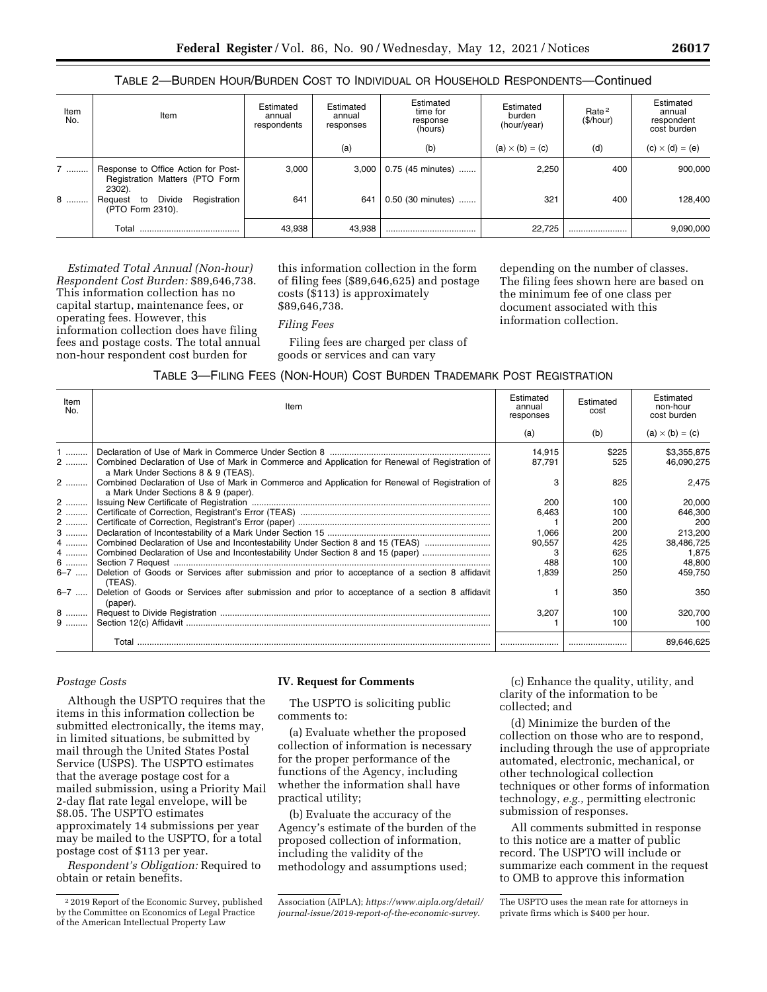### TABLE 2—BURDEN HOUR/BURDEN COST TO INDIVIDUAL OR HOUSEHOLD RESPONDENTS—Continued

| Item<br>No. | Item                                                                            | Estimated<br>annual<br>respondents | Estimated<br>annual<br>responses | Estimated<br>time for<br>response<br>(hours) | Estimated<br>burden<br>(hour/year) | Rate <sup>2</sup><br>(\$/hour) | Estimated<br>annual<br>respondent<br>cost burden |
|-------------|---------------------------------------------------------------------------------|------------------------------------|----------------------------------|----------------------------------------------|------------------------------------|--------------------------------|--------------------------------------------------|
|             |                                                                                 |                                    | (a)                              | (b)                                          | $(a) \times (b) = (c)$             | (d)                            | $(c) \times (d) = (e)$                           |
| 7           | Response to Office Action for Post-<br>Registration Matters (PTO Form<br>2302). | 3.000                              | 3.000                            | 0.75 (45 minutes)                            | 2,250                              | 400                            | 900,000                                          |
| 8           | Divide<br>Registration<br>Request to<br>(PTO Form 2310).                        | 641                                | 641                              | 0.50 (30 minutes)                            | 321                                | 400                            | 128,400                                          |
|             | Total                                                                           | 43,938                             | 43,938                           |                                              | 22.725                             |                                | 9,090,000                                        |

*Estimated Total Annual (Non-hour) Respondent Cost Burden:* \$89,646,738. This information collection has no capital startup, maintenance fees, or operating fees. However, this information collection does have filing fees and postage costs. The total annual non-hour respondent cost burden for

this information collection in the form of filing fees (\$89,646,625) and postage costs (\$113) is approximately \$89,646,738.

#### *Filing Fees*

Filing fees are charged per class of goods or services and can vary

depending on the number of classes. The filing fees shown here are based on the minimum fee of one class per document associated with this information collection.

| Item<br>No.                                                                    | Item                                                                                                                                                                                                                                                                                                                                                                                                                                                                                                                                                                                                                                                                              | Estimated<br>annual<br>responses                                         | Estimated<br>cost                                                                  | Estimated<br>non-hour<br>cost burden                                                                                         |
|--------------------------------------------------------------------------------|-----------------------------------------------------------------------------------------------------------------------------------------------------------------------------------------------------------------------------------------------------------------------------------------------------------------------------------------------------------------------------------------------------------------------------------------------------------------------------------------------------------------------------------------------------------------------------------------------------------------------------------------------------------------------------------|--------------------------------------------------------------------------|------------------------------------------------------------------------------------|------------------------------------------------------------------------------------------------------------------------------|
|                                                                                |                                                                                                                                                                                                                                                                                                                                                                                                                                                                                                                                                                                                                                                                                   | (a)                                                                      | (b)                                                                                | $(a) \times (b) = (c)$                                                                                                       |
| $1$<br>2<br>2<br>2<br>2  '<br>2   <br>$3$<br>4<br>4<br>6<br>$6 - 7$<br>$6 - 7$ | Combined Declaration of Use of Mark in Commerce and Application for Renewal of Registration of<br>a Mark Under Sections 8 & 9 (TEAS).<br>Combined Declaration of Use of Mark in Commerce and Application for Renewal of Registration of<br>a Mark Under Sections 8 & 9 (paper).<br>Combined Declaration of Use and Incontestability Under Section 8 and 15 (TEAS)<br>Combined Declaration of Use and Incontestability Under Section 8 and 15 (paper)<br>Deletion of Goods or Services after submission and prior to acceptance of a section 8 affidavit<br>(TEAS).<br>Deletion of Goods or Services after submission and prior to acceptance of a section 8 affidavit<br>(paper). | 14.915<br>87,791<br>200<br>6,463<br>1.066<br>90,557<br>3<br>488<br>1,839 | \$225<br>525<br>825<br>100<br>100<br>200<br>200<br>425<br>625<br>100<br>250<br>350 | \$3,355,875<br>46,090,275<br>2.475<br>20,000<br>646,300<br>200<br>213.200<br>38,486,725<br>1,875<br>48.800<br>459.750<br>350 |
| $8$<br>$9 \dots$                                                               |                                                                                                                                                                                                                                                                                                                                                                                                                                                                                                                                                                                                                                                                                   | 3,207                                                                    | 100<br>100                                                                         | 320,700<br>100                                                                                                               |
|                                                                                |                                                                                                                                                                                                                                                                                                                                                                                                                                                                                                                                                                                                                                                                                   |                                                                          |                                                                                    | 89.646.625                                                                                                                   |

# *Postage Costs*

Although the USPTO requires that the items in this information collection be submitted electronically, the items may, in limited situations, be submitted by mail through the United States Postal Service (USPS). The USPTO estimates that the average postage cost for a mailed submission, using a Priority Mail 2-day flat rate legal envelope, will be \$8.05. The USPTO estimates approximately 14 submissions per year may be mailed to the USPTO, for a total postage cost of \$113 per year.

*Respondent's Obligation:* Required to obtain or retain benefits.

### **IV. Request for Comments**

The USPTO is soliciting public comments to:

(a) Evaluate whether the proposed collection of information is necessary for the proper performance of the functions of the Agency, including whether the information shall have practical utility;

(b) Evaluate the accuracy of the Agency's estimate of the burden of the proposed collection of information, including the validity of the methodology and assumptions used;

(c) Enhance the quality, utility, and clarity of the information to be collected; and

(d) Minimize the burden of the collection on those who are to respond, including through the use of appropriate automated, electronic, mechanical, or other technological collection techniques or other forms of information technology, *e.g.,* permitting electronic submission of responses.

All comments submitted in response to this notice are a matter of public record. The USPTO will include or summarize each comment in the request to OMB to approve this information

<sup>2</sup> 2019 Report of the Economic Survey, published by the Committee on Economics of Legal Practice of the American Intellectual Property Law

Association (AIPLA); *[https://www.aipla.org/detail/](https://www.aipla.org/detail/journal-issue/2019-report-of-the-economic-survey)  [journal-issue/2019-report-of-the-economic-survey.](https://www.aipla.org/detail/journal-issue/2019-report-of-the-economic-survey)* 

The USPTO uses the mean rate for attorneys in private firms which is \$400 per hour.